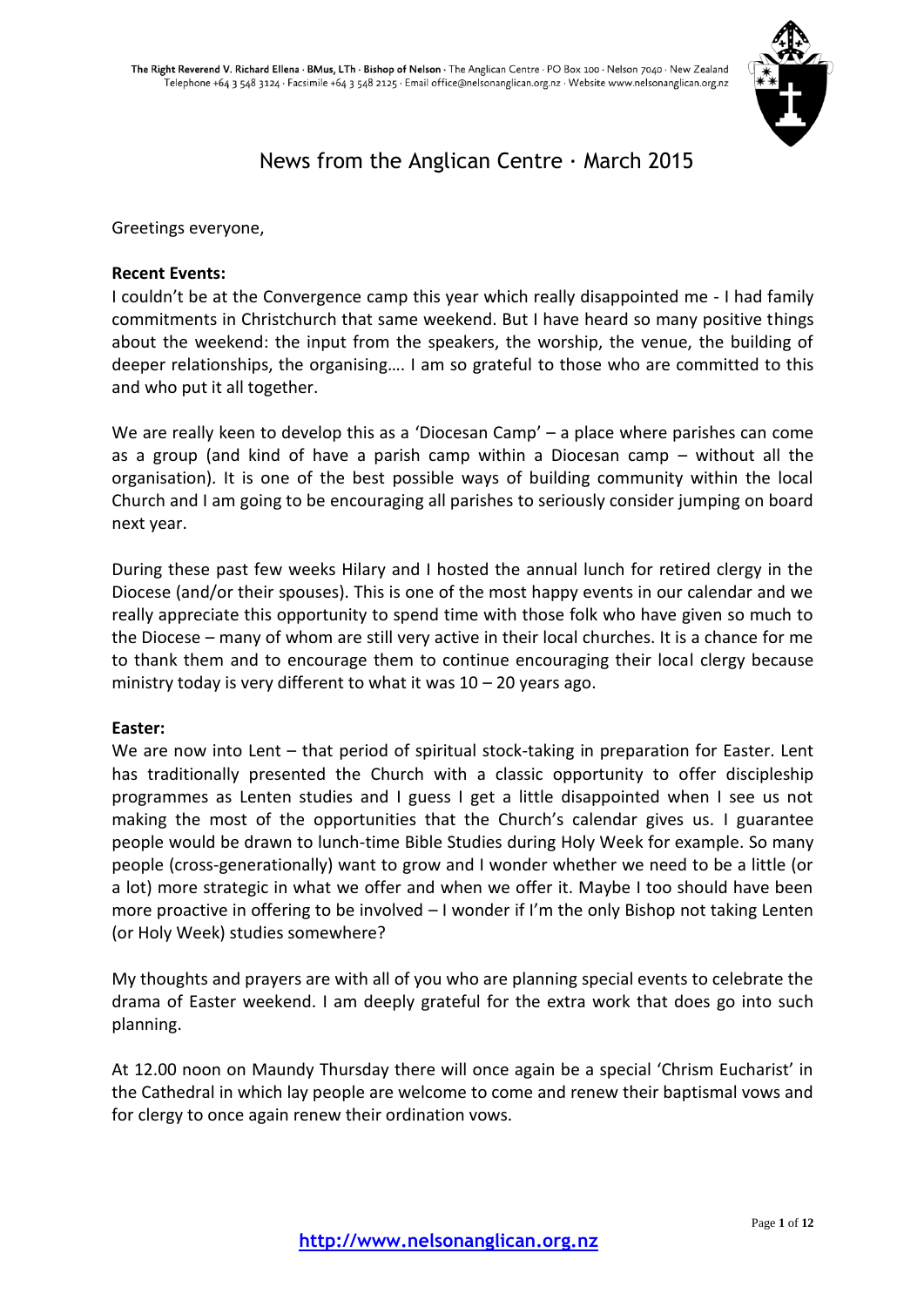

# News from the Anglican Centre · March 2015

Greetings everyone,

# **Recent Events:**

I couldn't be at the Convergence camp this year which really disappointed me - I had family commitments in Christchurch that same weekend. But I have heard so many positive things about the weekend: the input from the speakers, the worship, the venue, the building of deeper relationships, the organising…. I am so grateful to those who are committed to this and who put it all together.

We are really keen to develop this as a 'Diocesan Camp' – a place where parishes can come as a group (and kind of have a parish camp within a Diocesan camp – without all the organisation). It is one of the best possible ways of building community within the local Church and I am going to be encouraging all parishes to seriously consider jumping on board next year.

During these past few weeks Hilary and I hosted the annual lunch for retired clergy in the Diocese (and/or their spouses). This is one of the most happy events in our calendar and we really appreciate this opportunity to spend time with those folk who have given so much to the Diocese – many of whom are still very active in their local churches. It is a chance for me to thank them and to encourage them to continue encouraging their local clergy because ministry today is very different to what it was  $10 - 20$  years ago.

# **Easter:**

We are now into Lent – that period of spiritual stock-taking in preparation for Easter. Lent has traditionally presented the Church with a classic opportunity to offer discipleship programmes as Lenten studies and I guess I get a little disappointed when I see us not making the most of the opportunities that the Church's calendar gives us. I guarantee people would be drawn to lunch-time Bible Studies during Holy Week for example. So many people (cross-generationally) want to grow and I wonder whether we need to be a little (or a lot) more strategic in what we offer and when we offer it. Maybe I too should have been more proactive in offering to be involved – I wonder if I'm the only Bishop not taking Lenten (or Holy Week) studies somewhere?

My thoughts and prayers are with all of you who are planning special events to celebrate the drama of Easter weekend. I am deeply grateful for the extra work that does go into such planning.

At 12.00 noon on Maundy Thursday there will once again be a special 'Chrism Eucharist' in the Cathedral in which lay people are welcome to come and renew their baptismal vows and for clergy to once again renew their ordination vows.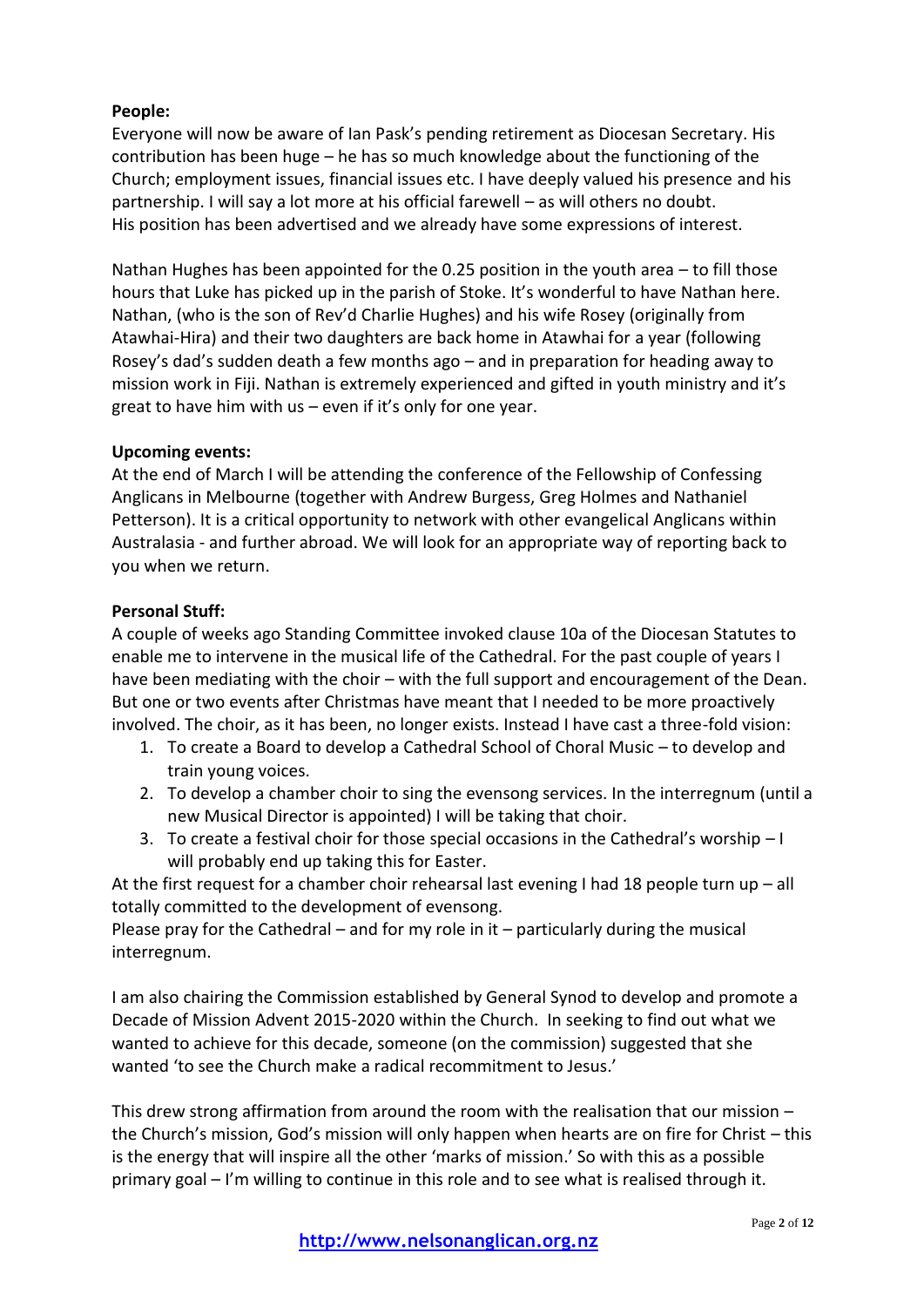# **People:**

Everyone will now be aware of Ian Pask's pending retirement as Diocesan Secretary. His contribution has been huge – he has so much knowledge about the functioning of the Church; employment issues, financial issues etc. I have deeply valued his presence and his partnership. I will say a lot more at his official farewell – as will others no doubt. His position has been advertised and we already have some expressions of interest.

Nathan Hughes has been appointed for the 0.25 position in the youth area – to fill those hours that Luke has picked up in the parish of Stoke. It's wonderful to have Nathan here. Nathan, (who is the son of Rev'd Charlie Hughes) and his wife Rosey (originally from Atawhai-Hira) and their two daughters are back home in Atawhai for a year (following Rosey's dad's sudden death a few months ago – and in preparation for heading away to mission work in Fiji. Nathan is extremely experienced and gifted in youth ministry and it's great to have him with us – even if it's only for one year.

# **Upcoming events:**

At the end of March I will be attending the conference of the Fellowship of Confessing Anglicans in Melbourne (together with Andrew Burgess, Greg Holmes and Nathaniel Petterson). It is a critical opportunity to network with other evangelical Anglicans within Australasia - and further abroad. We will look for an appropriate way of reporting back to you when we return.

# **Personal Stuff:**

A couple of weeks ago Standing Committee invoked clause 10a of the Diocesan Statutes to enable me to intervene in the musical life of the Cathedral. For the past couple of years I have been mediating with the choir – with the full support and encouragement of the Dean. But one or two events after Christmas have meant that I needed to be more proactively involved. The choir, as it has been, no longer exists. Instead I have cast a three-fold vision:

- 1. To create a Board to develop a Cathedral School of Choral Music to develop and train young voices.
- 2. To develop a chamber choir to sing the evensong services. In the interregnum (until a new Musical Director is appointed) I will be taking that choir.
- 3. To create a festival choir for those special occasions in the Cathedral's worship I will probably end up taking this for Easter.

At the first request for a chamber choir rehearsal last evening I had 18 people turn up – all totally committed to the development of evensong.

Please pray for the Cathedral – and for my role in it – particularly during the musical interregnum.

I am also chairing the Commission established by General Synod to develop and promote a Decade of Mission Advent 2015-2020 within the Church. In seeking to find out what we wanted to achieve for this decade, someone (on the commission) suggested that she wanted 'to see the Church make a radical recommitment to Jesus.'

This drew strong affirmation from around the room with the realisation that our mission – the Church's mission, God's mission will only happen when hearts are on fire for Christ – this is the energy that will inspire all the other 'marks of mission.' So with this as a possible primary goal – I'm willing to continue in this role and to see what is realised through it.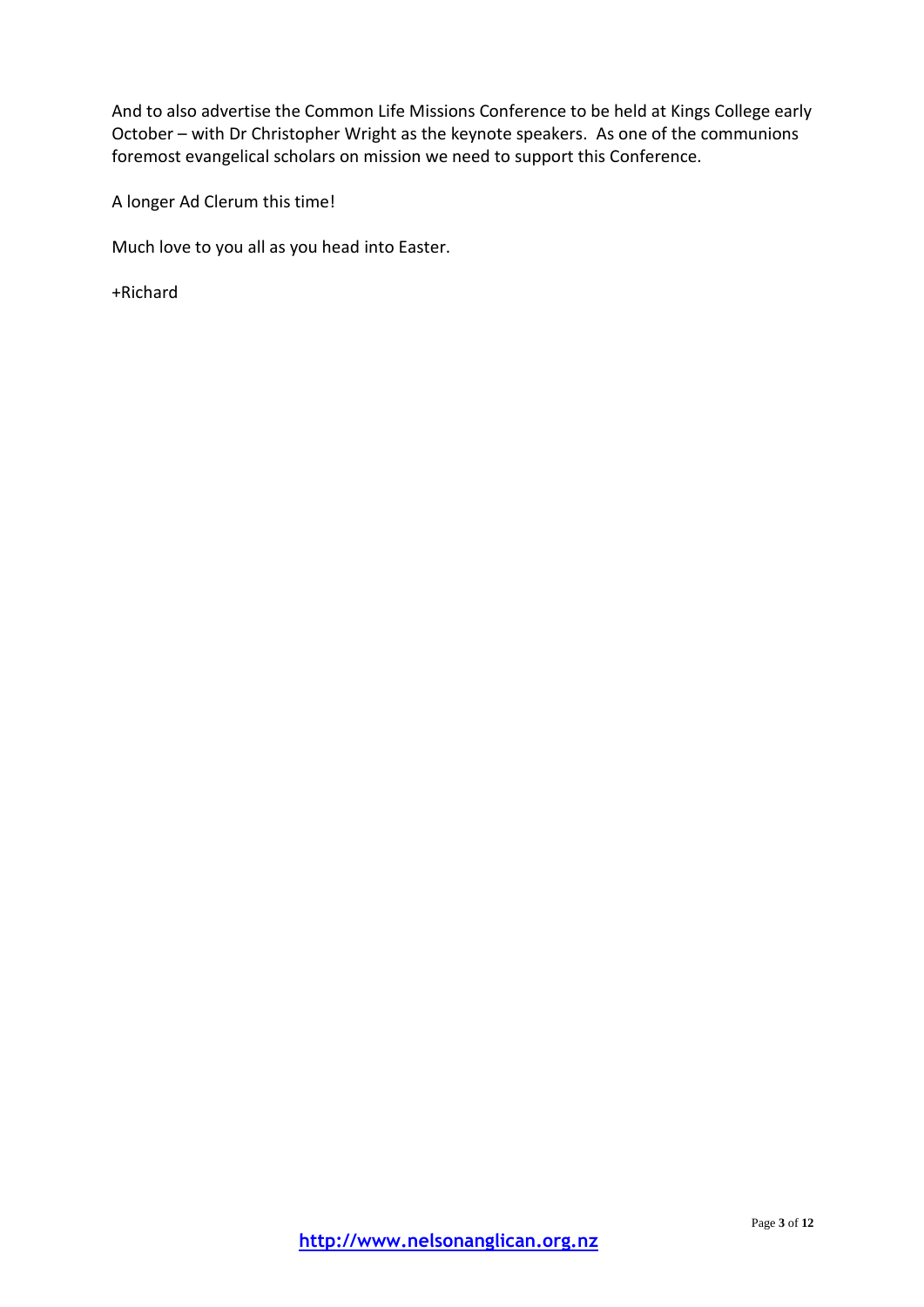And to also advertise the Common Life Missions Conference to be held at Kings College early October – with Dr Christopher Wright as the keynote speakers. As one of the communions foremost evangelical scholars on mission we need to support this Conference.

A longer Ad Clerum this time!

Much love to you all as you head into Easter.

+Richard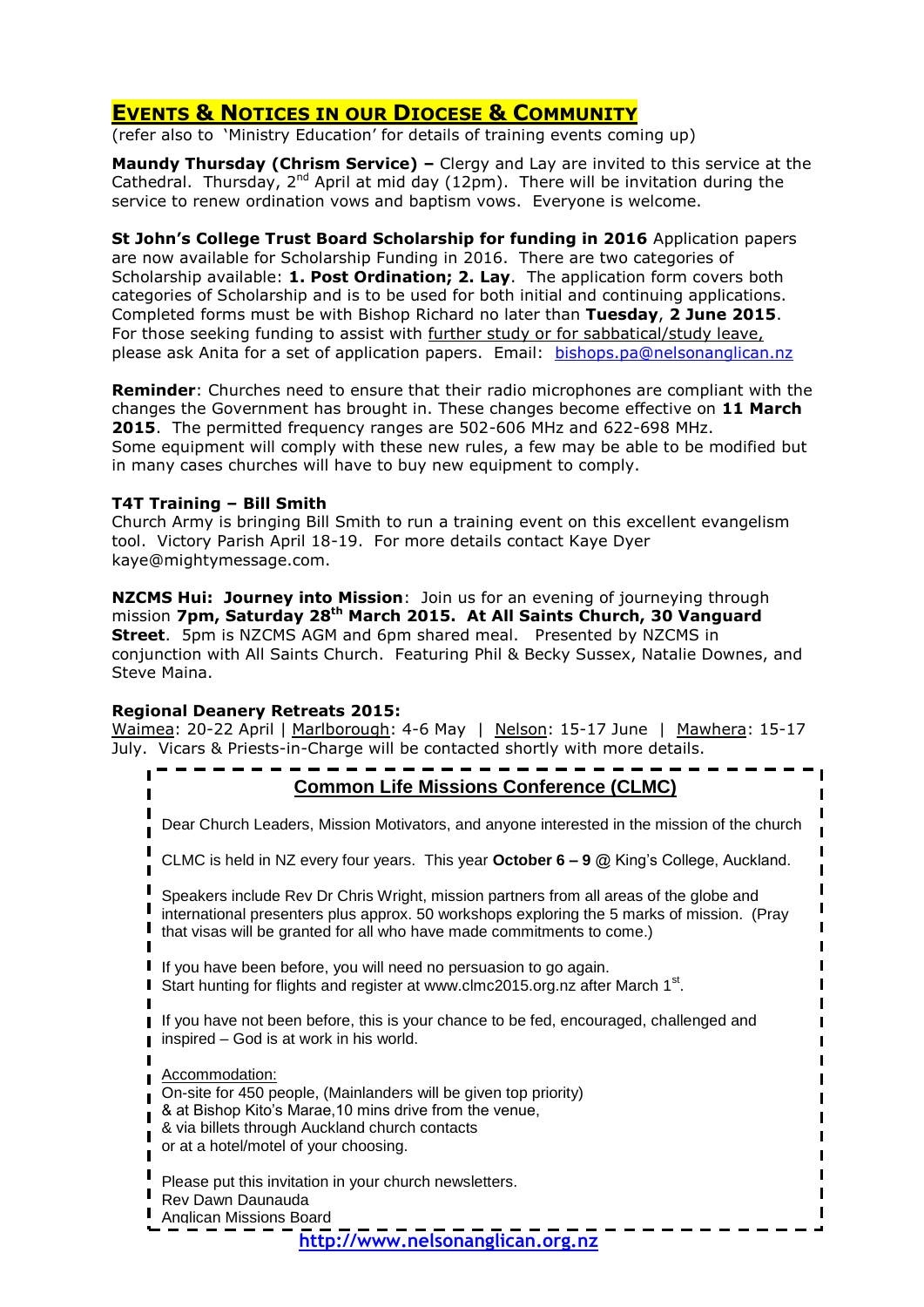# **EVENTS & NOTICES IN OUR DIOCESE & COMMUNITY**

(refer also to 'Ministry Education' for details of training events coming up)

**Maundy Thursday (Chrism Service) –** Clergy and Lay are invited to this service at the Cathedral. Thursday,  $2^{nd}$  April at mid day (12pm). There will be invitation during the service to renew ordination vows and baptism vows. Everyone is welcome.

**St John's College Trust Board Scholarship for funding in 2016** Application papers are now available for Scholarship Funding in 2016. There are two categories of Scholarship available: **1. Post Ordination; 2. Lay**. The application form covers both categories of Scholarship and is to be used for both initial and continuing applications. Completed forms must be with Bishop Richard no later than **Tuesday**, **2 June 2015**. For those seeking funding to assist with further study or for sabbatical/study leave, please ask Anita for a set of application papers. Email: [bishops.pa@nelsonanglican.nz](mailto:bishops.pa@nelsonanglican.nz)

**Reminder**: Churches need to ensure that their radio microphones are compliant with the changes the Government has brought in. These changes become effective on **11 March 2015**. The permitted frequency ranges are 502-606 MHz and 622-698 MHz. Some equipment will comply with these new rules, a few may be able to be modified but in many cases churches will have to buy new equipment to comply.

# **T4T Training – Bill Smith**

Church Army is bringing Bill Smith to run a training event on this excellent evangelism tool. Victory Parish April 18-19. For more details contact Kaye Dyer kaye@mightymessage.com.

**NZCMS Hui: Journey into Mission**: Join us for an evening of journeying through mission **7pm, Saturday 28th March 2015. At All Saints Church, 30 Vanguard Street**. 5pm is NZCMS AGM and 6pm shared meal. Presented by NZCMS in conjunction with All Saints Church. Featuring Phil & Becky Sussex, Natalie Downes, and Steve Maina.

# **Regional Deanery Retreats 2015:**

Waimea: 20-22 April | Marlborough: 4-6 May | Nelson: 15-17 June | Mawhera: 15-17 July. Vicars & Priests-in-Charge will be contacted shortly with more details.

# **Common Life Missions Conference (CLMC)**

Dear Church Leaders, Mission Motivators, and anyone interested in the mission of the church CLMC is held in NZ every four years. This year **October 6 – 9** @ King's College, Auckland.

 $\mathbf{I}$ Speakers include Rev Dr Chris Wright, mission partners from all areas of the globe and international presenters plus approx. 50 workshops exploring the 5 marks of mission. (Pray

that visas will be granted for all who have made commitments to come.)

I If you have been before, you will need no persuasion to go again.

Start hunting for flights and register at www.clmc2015.org.nz after March 1<sup>st</sup>.

I If you have not been before, this is your chance to be fed, encouraged, challenged and **i** inspired – God is at work in his world.

Accommodation:

п п

On-site for 450 people, (Mainlanders will be given top priority)

- & at Bishop Kito's Marae,10 mins drive from the venue,
- & via billets through Auckland church contacts

or at a hotel/motel of your choosing.

Please put this invitation in your church newsletters.

- Rev Dawn Daunauda
- Anglican Missions Board

**http://www.nelsonanglican.org.nz**

Page **4** of **12**

Ī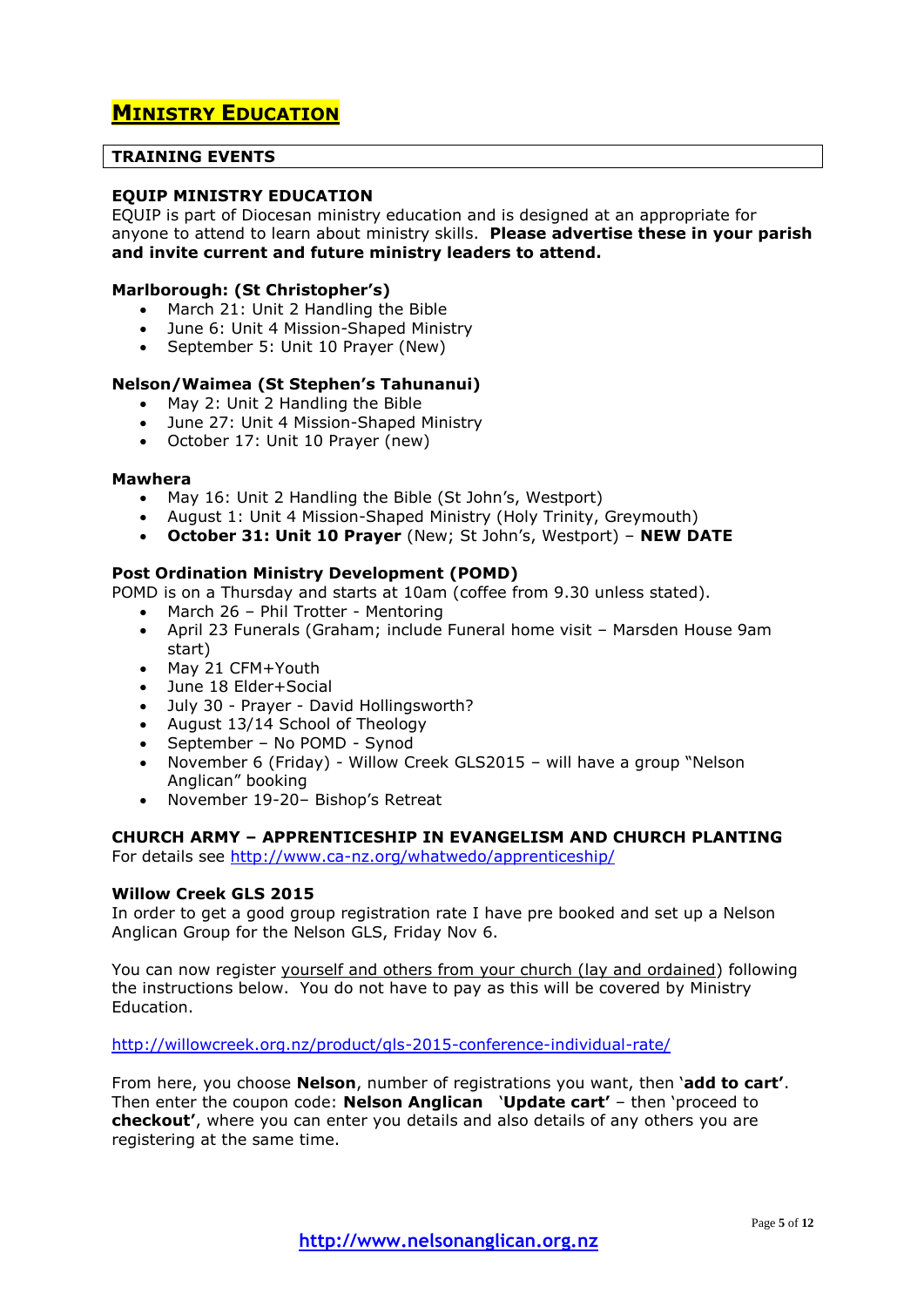# **MINISTRY EDUCATION**

### **TRAINING EVENTS**

# **EQUIP MINISTRY EDUCATION**

EQUIP is part of Diocesan ministry education and is designed at an appropriate for anyone to attend to learn about ministry skills. **Please advertise these in your parish and invite current and future ministry leaders to attend.**

### **Marlborough: (St Christopher's)**

- March 21: Unit 2 Handling the Bible
- June 6: Unit 4 Mission-Shaped Ministry
- September 5: Unit 10 Prayer (New)

### **Nelson/Waimea (St Stephen's Tahunanui)**

- May 2: Unit 2 Handling the Bible
- June 27: Unit 4 Mission-Shaped Ministry
- October 17: Unit 10 Prayer (new)

#### **Mawhera**

- May 16: Unit 2 Handling the Bible (St John's, Westport)
- August 1: Unit 4 Mission-Shaped Ministry (Holy Trinity, Greymouth)
- **October 31: Unit 10 Prayer** (New; St John's, Westport) **NEW DATE**

### **Post Ordination Ministry Development (POMD)**

- POMD is on a Thursday and starts at 10am (coffee from 9.30 unless stated).
	- March 26 Phil Trotter Mentoring
	- April 23 Funerals (Graham; include Funeral home visit Marsden House 9am start)
	- May 21 CFM+Youth<br>• June 18 Elder+Socia
	- June 18 Elder+Social
	- July 30 Prayer David Hollingsworth?
	- August 13/14 School of Theology
	- September No POMD Synod
	- November 6 (Friday) Willow Creek GLS2015 will have a group "Nelson Anglican" booking
	- November 19-20– Bishop's Retreat

# **CHURCH ARMY – APPRENTICESHIP IN EVANGELISM AND CHURCH PLANTING**

For details see<http://www.ca-nz.org/whatwedo/apprenticeship/>

### **Willow Creek GLS 2015**

In order to get a good group registration rate I have pre booked and set up a Nelson Anglican Group for the Nelson GLS, Friday Nov 6.

You can now register yourself and others from your church (lay and ordained) following the instructions below. You do not have to pay as this will be covered by Ministry Education.

<http://willowcreek.org.nz/product/gls-2015-conference-individual-rate/>

From here, you choose **Nelson**, number of registrations you want, then '**add to cart'**. Then enter the coupon code: **Nelson Anglican** '**Update cart'** – then 'proceed to **checkout'**, where you can enter you details and also details of any others you are registering at the same time.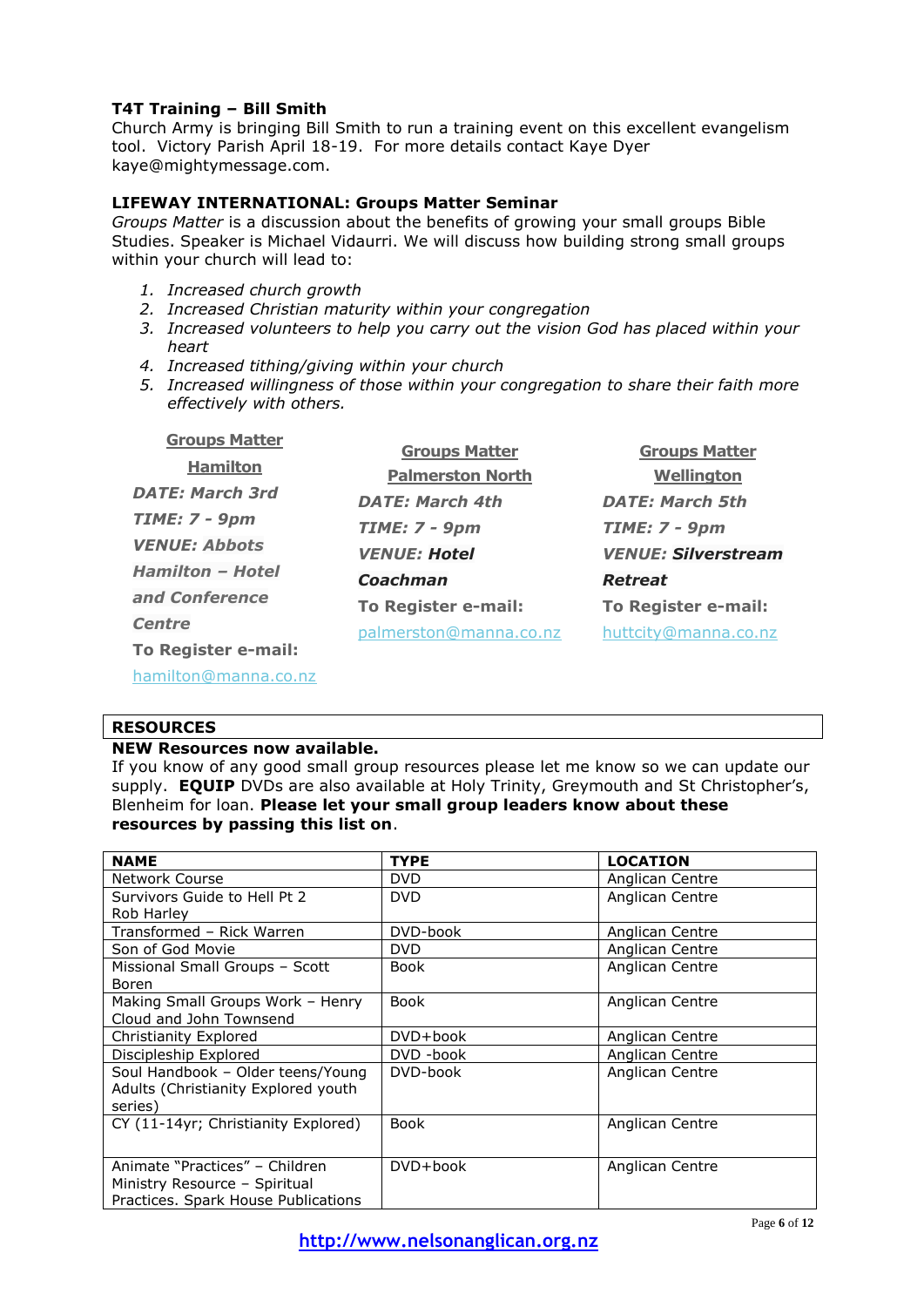# **T4T Training – Bill Smith**

Church Army is bringing Bill Smith to run a training event on this excellent evangelism tool. Victory Parish April 18-19. For more details contact Kaye Dyer kaye@mightymessage.com.

# **LIFEWAY INTERNATIONAL: Groups Matter Seminar**

*Groups Matter* is a discussion about the benefits of growing your small groups Bible Studies. Speaker is Michael Vidaurri. We will discuss how building strong small groups within your church will lead to:

- *1. Increased church growth*
- *2. Increased Christian maturity within your congregation*
- *3. Increased volunteers to help you carry out the vision God has placed within your heart*
- *4. Increased tithing/giving within your church*
- *5. Increased willingness of those within your congregation to share their faith more effectively with others.*

| <b>Groups Matter</b>    | <b>Groups Matter</b>       | <b>Groups Matter</b>       |
|-------------------------|----------------------------|----------------------------|
| <b>Hamilton</b>         | <b>Palmerston North</b>    | <b>Wellington</b>          |
| <b>DATE: March 3rd</b>  | <b>DATE: March 4th</b>     | <b>DATE: March 5th</b>     |
| <b>TIME: 7 - 9pm</b>    | $TIME: 7 - 9pm$            | <b>TIME: 7 - 9pm</b>       |
| <b>VENUE: Abbots</b>    | <b>VENUE: Hotel</b>        | <b>VENUE: Silverstream</b> |
| <b>Hamilton - Hotel</b> | Coachman                   | <b>Retreat</b>             |
| and Conference          | <b>To Register e-mail:</b> | To Register e-mail:        |
| <b>Centre</b>           | palmerston@manna.co.nz     | huttcity@manna.co.nz       |
| To Register e-mail:     |                            |                            |
| hamilton@manna.co.nz    |                            |                            |

# **RESOURCES**

# **NEW Resources now available.**

If you know of any good small group resources please let me know so we can update our supply. **EQUIP** DVDs are also available at Holy Trinity, Greymouth and St Christopher's, Blenheim for loan. **Please let your small group leaders know about these resources by passing this list on**.

| <b>NAME</b>                         | <b>TYPE</b> | <b>LOCATION</b> |
|-------------------------------------|-------------|-----------------|
| Network Course                      | <b>DVD</b>  | Anglican Centre |
| Survivors Guide to Hell Pt 2        | <b>DVD</b>  | Anglican Centre |
| Rob Harley                          |             |                 |
| Transformed - Rick Warren           | DVD-book    | Anglican Centre |
| Son of God Movie                    | <b>DVD</b>  | Anglican Centre |
| Missional Small Groups - Scott      | <b>Book</b> | Anglican Centre |
| Boren                               |             |                 |
| Making Small Groups Work - Henry    | <b>Book</b> | Anglican Centre |
| Cloud and John Townsend             |             |                 |
| Christianity Explored               | DVD+book    | Anglican Centre |
| Discipleship Explored               | DVD -book   | Anglican Centre |
| Soul Handbook - Older teens/Young   | DVD-book    | Anglican Centre |
| Adults (Christianity Explored youth |             |                 |
| series)                             |             |                 |
| CY (11-14yr; Christianity Explored) | <b>Book</b> | Anglican Centre |
|                                     |             |                 |
| Animate "Practices" - Children      | $DVD+book$  | Anglican Centre |
| Ministry Resource - Spiritual       |             |                 |
| Practices. Spark House Publications |             |                 |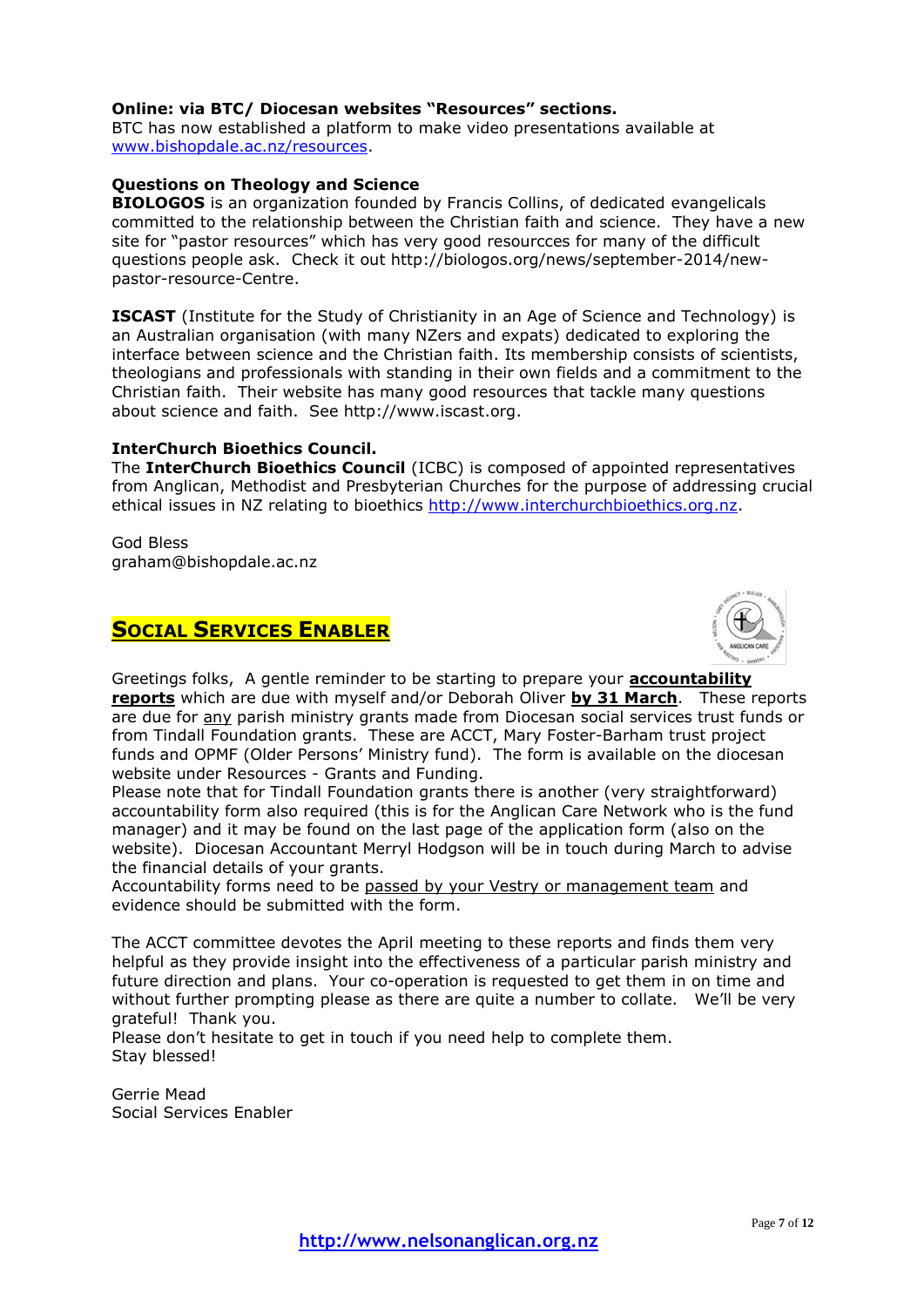## **Online: via BTC/ Diocesan websites "Resources" sections.**

BTC has now established a platform to make video presentations available at [www.bishopdale.ac.nz/resources.](http://www.bishopdale.ac.nz/resources)

# **Questions on Theology and Science**

**BIOLOGOS** is an organization founded by Francis Collins, of dedicated evangelicals committed to the relationship between the Christian faith and science. They have a new site for "pastor resources" which has very good resourcces for many of the difficult questions people ask. Check it out http://biologos.org/news/september-2014/newpastor-resource-Centre.

**ISCAST** (Institute for the Study of Christianity in an Age of Science and Technology) is an Australian organisation (with many NZers and expats) dedicated to exploring the interface between science and the Christian faith. Its membership consists of scientists, theologians and professionals with standing in their own fields and a commitment to the Christian faith. Their website has many good resources that tackle many questions about science and faith. See http://www.iscast.org.

### **InterChurch Bioethics Council.**

The **InterChurch Bioethics Council** (ICBC) is composed of appointed representatives from Anglican, Methodist and Presbyterian Churches for the purpose of addressing crucial ethical issues in NZ relating to bioethics [http://www.interchurchbioethics.org.nz.](http://www.interchurchbioethics.org.nz/)

God Bless graham@bishopdale.ac.nz

# **SOCIAL SERVICES ENABLER**



Greetings folks, A gentle reminder to be starting to prepare your **accountability reports** which are due with myself and/or Deborah Oliver **by 31 March**. These reports are due for any parish ministry grants made from Diocesan social services trust funds or from Tindall Foundation grants. These are ACCT, Mary Foster-Barham trust project funds and OPMF (Older Persons' Ministry fund). The form is available on the diocesan website under Resources - Grants and Funding.

Please note that for Tindall Foundation grants there is another (very straightforward) accountability form also required (this is for the Anglican Care Network who is the fund manager) and it may be found on the last page of the application form (also on the website). Diocesan Accountant Merryl Hodgson will be in touch during March to advise the financial details of your grants.

Accountability forms need to be passed by your Vestry or management team and evidence should be submitted with the form.

The ACCT committee devotes the April meeting to these reports and finds them very helpful as they provide insight into the effectiveness of a particular parish ministry and future direction and plans. Your co-operation is requested to get them in on time and without further prompting please as there are quite a number to collate. We'll be very grateful! Thank you.

Please don't hesitate to get in touch if you need help to complete them. Stay blessed!

Gerrie Mead Social Services Enabler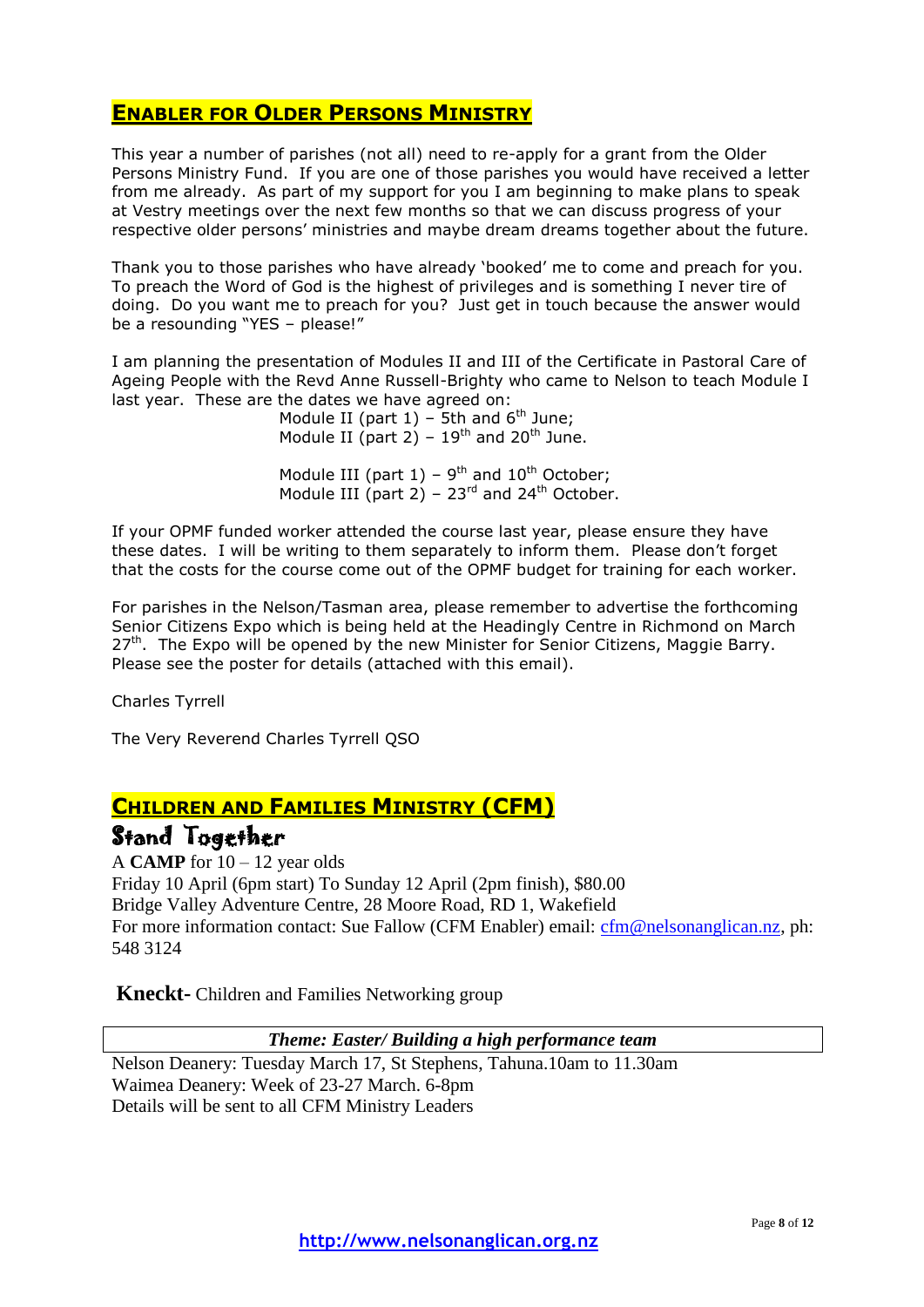# **ENABLER FOR OLDER PERSONS MINISTRY**

This year a number of parishes (not all) need to re-apply for a grant from the Older Persons Ministry Fund. If you are one of those parishes you would have received a letter from me already. As part of my support for you I am beginning to make plans to speak at Vestry meetings over the next few months so that we can discuss progress of your respective older persons' ministries and maybe dream dreams together about the future.

Thank you to those parishes who have already 'booked' me to come and preach for you. To preach the Word of God is the highest of privileges and is something I never tire of doing. Do you want me to preach for you? Just get in touch because the answer would be a resounding "YES – please!"

I am planning the presentation of Modules II and III of the Certificate in Pastoral Care of Ageing People with the Revd Anne Russell-Brighty who came to Nelson to teach Module I last year. These are the dates we have agreed on:

Module II (part  $1$ ) – 5th and  $6<sup>th</sup>$  June; Module II (part 2) –  $19^{th}$  and 20<sup>th</sup> June.

Module III (part  $1$ ) – 9<sup>th</sup> and  $10^{th}$  October; Module III (part 2) –  $23<sup>rd</sup>$  and  $24<sup>th</sup>$  October.

If your OPMF funded worker attended the course last year, please ensure they have these dates. I will be writing to them separately to inform them. Please don't forget that the costs for the course come out of the OPMF budget for training for each worker.

For parishes in the Nelson/Tasman area, please remember to advertise the forthcoming Senior Citizens Expo which is being held at the Headingly Centre in Richmond on March  $27<sup>th</sup>$ . The Expo will be opened by the new Minister for Senior Citizens, Maggie Barry. Please see the poster for details (attached with this email).

Charles Tyrrell

The Very Reverend Charles Tyrrell QSO

# **CHILDREN AND FAMILIES MINISTRY (CFM)**

# Stand Together

A **CAMP** for 10 – 12 year olds Friday 10 April (6pm start) To Sunday 12 April (2pm finish), \$80.00 Bridge Valley Adventure Centre, 28 Moore Road, RD 1, Wakefield For more information contact: Sue Fallow (CFM Enabler) email: [cfm@nelsonanglican.nz,](mailto:cfm@nelsonanglican.nz) ph: 548 3124

**Kneckt-** Children and Families Networking group

*Theme: Easter/ Building a high performance team*

Nelson Deanery: Tuesday March 17, St Stephens, Tahuna.10am to 11.30am Waimea Deanery: Week of 23-27 March. 6-8pm Details will be sent to all CFM Ministry Leaders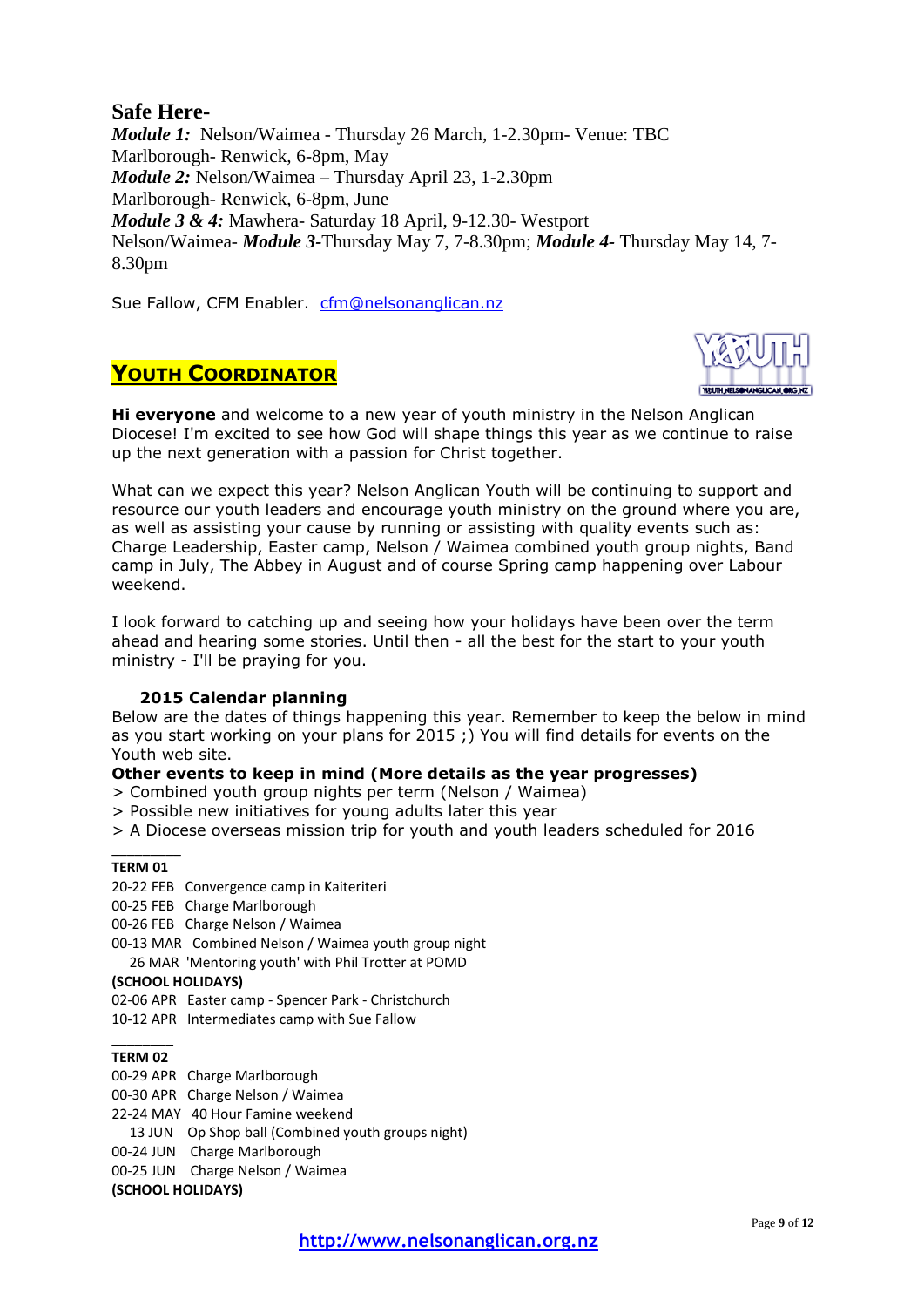# **Safe Here-**

*Module 1:* Nelson/Waimea - Thursday 26 March, 1-2.30pm- Venue: TBC Marlborough- Renwick, 6-8pm, May *Module 2:* Nelson/Waimea – Thursday April 23, 1-2.30pm Marlborough- Renwick, 6-8pm, June *Module 3 & 4:* Mawhera- Saturday 18 April, 9-12.30- Westport Nelson/Waimea- *Module 3-*Thursday May 7, 7-8.30pm; *Module 4-* Thursday May 14, 7- 8.30pm

Sue Fallow, CFM Enabler. [cfm@nelsonanglican.nz](mailto:cfm@nelsonanglican.nz)

# **YOUTH COORDINATOR**

**Hi everyone** and welcome to a new year of youth ministry in the Nelson Anglican Diocese! I'm excited to see how God will shape things this year as we continue to raise up the next generation with a passion for Christ together.

What can we expect this year? Nelson Anglican Youth will be continuing to support and resource our youth leaders and encourage youth ministry on the ground where you are, as well as assisting your cause by running or assisting with quality events such as: Charge Leadership, Easter camp, Nelson / Waimea combined youth group nights, Band camp in July, The Abbey in August and of course Spring camp happening over Labour weekend.

I look forward to catching up and seeing how your holidays have been over the term ahead and hearing some stories. Until then - all the best for the start to your youth ministry - I'll be praying for you.

# **2015 Calendar planning**

Below are the dates of things happening this year. Remember to keep the below in mind as you start working on your plans for 2015 ;) You will find details for events on the Youth web site.

# **Other events to keep in mind (More details as the year progresses)**

- > Combined youth group nights per term (Nelson / Waimea)
- > Possible new initiatives for young adults later this year
- > A Diocese overseas mission trip for youth and youth leaders scheduled for 2016

#### \_\_\_\_\_\_\_\_\_ **TERM 01**

- 20-22 FEB Convergence camp in Kaiteriteri
- 00-25 FEB Charge Marlborough
- 00-26 FEB Charge Nelson / Waimea
- 00-13 MAR Combined Nelson / Waimea youth group night

26 MAR 'Mentoring youth' with Phil Trotter at POMD

### **(SCHOOL HOLIDAYS)**

02-06 APR Easter camp - Spencer Park - Christchurch

10-12 APR Intermediates camp with Sue Fallow

#### $\overline{\phantom{a}}$ **TERM 02**

00-29 APR Charge Marlborough

00-30 APR Charge Nelson / Waimea

22-24 MAY 40 Hour Famine weekend

13 JUN Op Shop ball (Combined youth groups night)

00-24 JUN Charge Marlborough

00-25 JUN Charge Nelson / Waimea

**(SCHOOL HOLIDAYS)**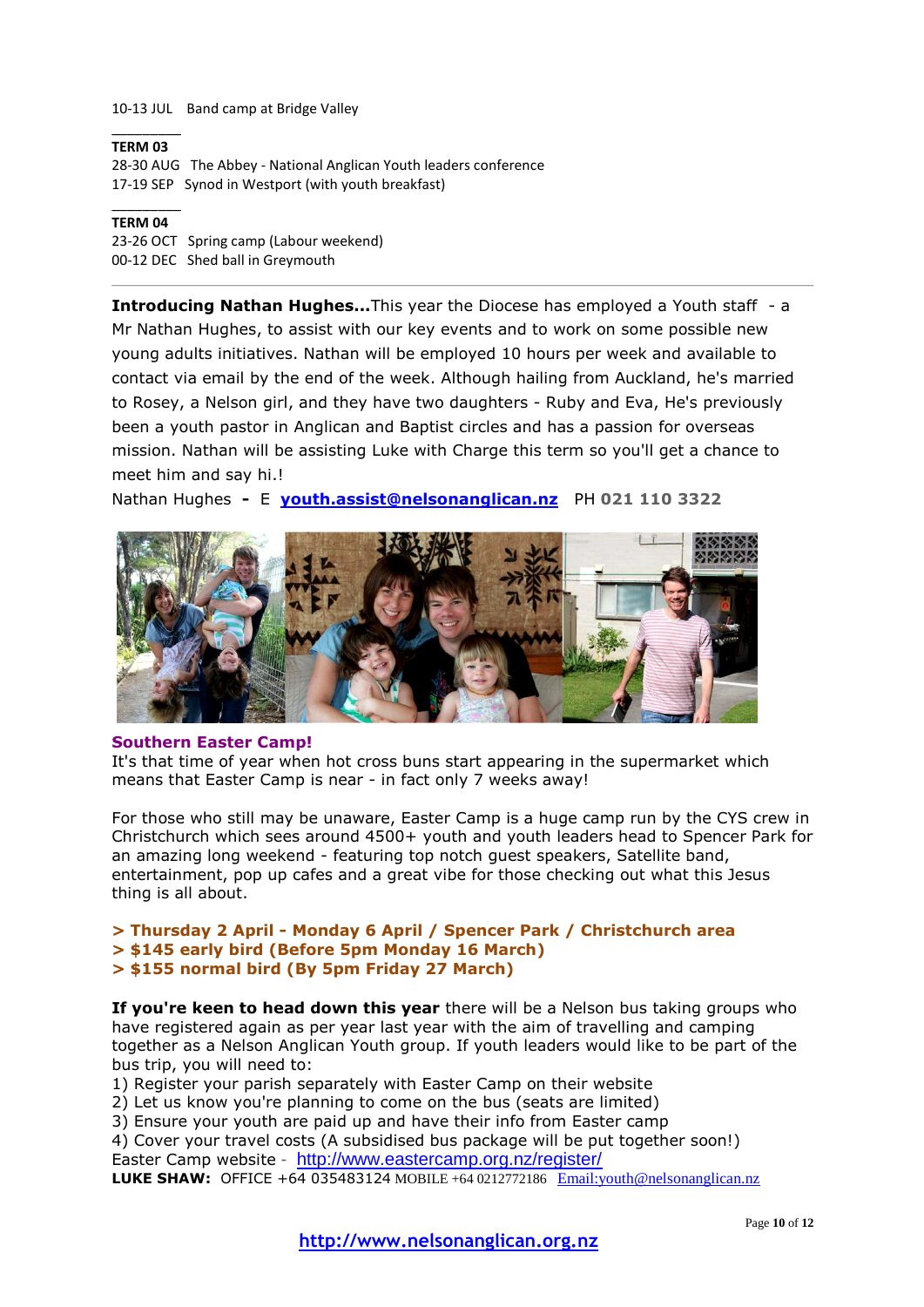#### 10-13 JUL Band camp at Bridge Valley

#### \_\_\_\_\_\_\_\_\_ **TERM 03**

28-30 AUG The Abbey - National Anglican Youth leaders conference 17-19 SEP Synod in Westport (with youth breakfast)

#### \_\_\_\_\_\_\_\_\_ **TERM 04**

23-26 OCT Spring camp (Labour weekend) 00-12 DEC Shed ball in Greymouth

**Introducing Nathan Hughes...**This year the Diocese has employed a Youth staff - a Mr Nathan Hughes, to assist with our key events and to work on some possible new young adults initiatives. Nathan will be employed 10 hours per week and available to contact via email by the end of the week. Although hailing from Auckland, he's married to Rosey, a Nelson girl, and they have two daughters - Ruby and Eva, He's previously been a youth pastor in Anglican and Baptist circles and has a passion for overseas mission. Nathan will be assisting Luke with Charge this term so you'll get a chance to meet him and say hi.!

Nathan Hughes **-** E **[youth.assist@nelsonanglican.nz](mailto:youth.assist@nelsonanglican.nz)** PH **021 110 3322**



#### **Southern Easter Camp!**

It's that time of year when hot cross buns start appearing in the supermarket which means that Easter Camp is near - in fact only 7 weeks away!

For those who still may be unaware, Easter Camp is a huge camp run by the CYS crew in Christchurch which sees around 4500+ youth and youth leaders head to Spencer Park for an amazing long weekend - featuring top notch guest speakers, Satellite band, entertainment, pop up cafes and a great vibe for those checking out what this Jesus thing is all about.

### **> Thursday 2 April - Monday 6 April / Spencer Park / Christchurch area > \$145 early bird (Before 5pm Monday 16 March) > \$155 normal bird (By 5pm Friday 27 March)**

**If you're keen to head down this year** there will be a Nelson bus taking groups who have registered again as per year last year with the aim of travelling and camping together as a Nelson Anglican Youth group. If youth leaders would like to be part of the bus trip, you will need to:

1) Register your parish separately with Easter Camp on their website

2) Let us know you're planning to come on the bus (seats are limited)

3) Ensure your youth are paid up and have their info from Easter camp

4) Cover your travel costs (A subsidised bus package will be put together soon!) Easter Camp website - <http://www.eastercamp.org.nz/register/> **LUKE SHAW:** OFFICE +64 035483124 MOBILE +64 0212772186 [Email:youth@nelsonanglican.nz](mailto:youth@nelsonanglican.org.nz)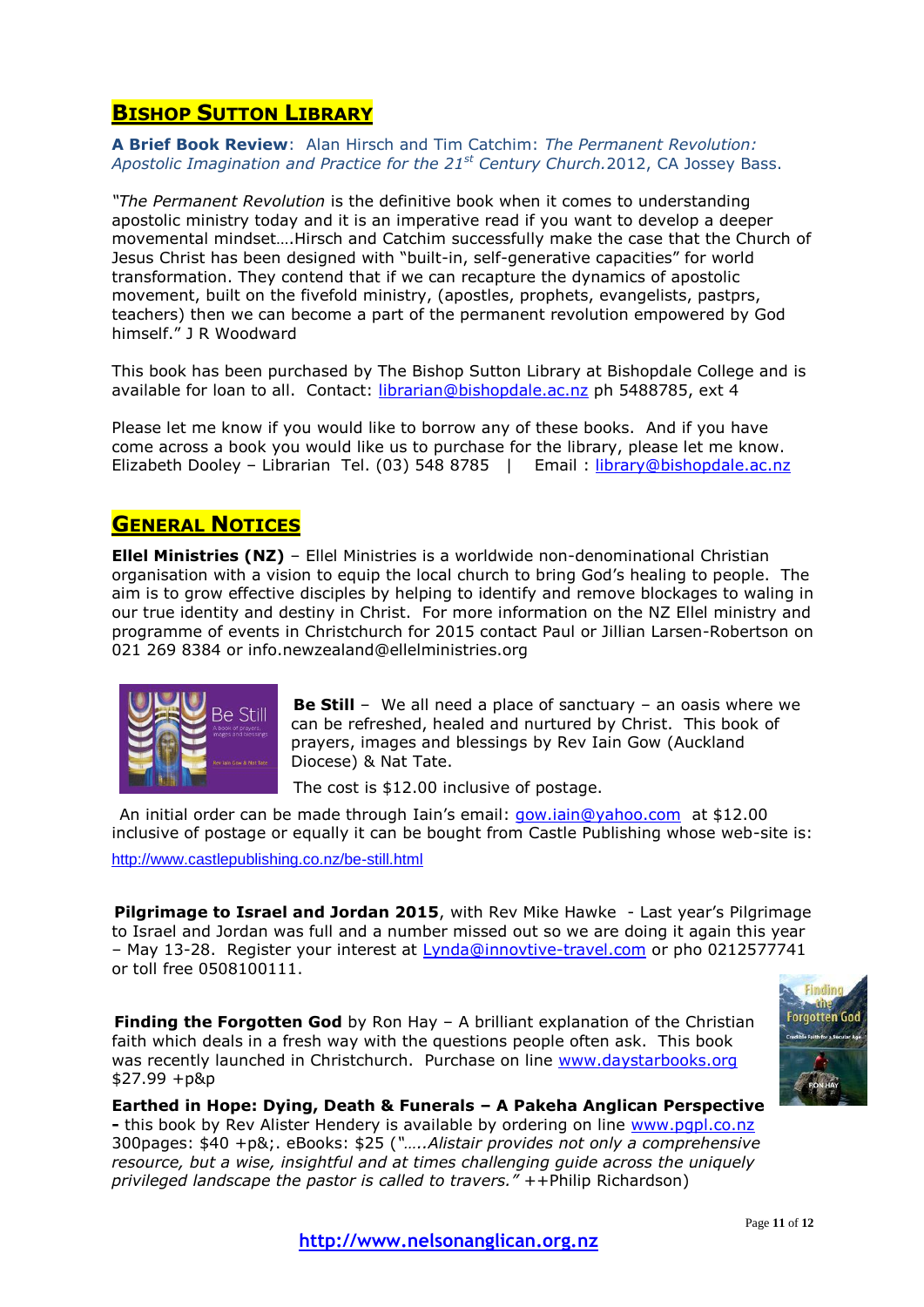# **BISHOP SUTTON LIBRARY**

**A Brief Book Review**: Alan Hirsch and Tim Catchim: *The Permanent Revolution: Apostolic Imagination and Practice for the 21st Century Church.*2012, CA Jossey Bass.

*"The Permanent Revolution* is the definitive book when it comes to understanding apostolic ministry today and it is an imperative read if you want to develop a deeper movemental mindset….Hirsch and Catchim successfully make the case that the Church of Jesus Christ has been designed with "built-in, self-generative capacities" for world transformation. They contend that if we can recapture the dynamics of apostolic movement, built on the fivefold ministry, (apostles, prophets, evangelists, pastprs, teachers) then we can become a part of the permanent revolution empowered by God himself." J R Woodward

This book has been purchased by The Bishop Sutton Library at Bishopdale College and is available for loan to all. Contact: [librarian@bishopdale.ac.nz](mailto:librarian@bishopdale.ac.nz) ph 5488785, ext 4

Please let me know if you would like to borrow any of these books. And if you have come across a book you would like us to purchase for the library, please let me know. Elizabeth Dooley - Librarian Tel. (03) 548 8785 | Email : [library@bishopdale.ac.nz](mailto:library@bishopdale.ac.nz)

# **GENERAL NOTICES**

**Ellel Ministries (NZ)** – Ellel Ministries is a worldwide non-denominational Christian organisation with a vision to equip the local church to bring God's healing to people. The aim is to grow effective disciples by helping to identify and remove blockages to waling in our true identity and destiny in Christ. For more information on the NZ Ellel ministry and programme of events in Christchurch for 2015 contact Paul or Jillian Larsen-Robertson on 021 269 8384 or info.newzealand@ellelministries.org



**Be Still** – We all need a place of sanctuary – an oasis where we can be refreshed, healed and nurtured by Christ. This book of prayers, images and blessings by Rev Iain Gow (Auckland Diocese) & Nat Tate.

The cost is \$12.00 inclusive of postage.

An initial order can be made through Iain's email: [gow.iain@yahoo.com](mailto:gow.iain@yahoo.com) at \$12.00 inclusive of postage or equally it can be bought from Castle Publishing whose web-site is:

<http://www.castlepublishing.co.nz/be-still.html>

**Pilgrimage to Israel and Jordan 2015**, with Rev Mike Hawke - Last year's Pilgrimage to Israel and Jordan was full and a number missed out so we are doing it again this year – May 13-28. Register your interest at [Lynda@innovtive-travel.com](mailto:Lynda@innovtive-travel.com) or pho 0212577741 or toll free 0508100111.

**Finding the Forgotten God** by Ron Hay – A brilliant explanation of the Christian faith which deals in a fresh way with the questions people often ask. This book was recently launched in Christchurch. Purchase on line www.daystarbooks.org \$27.99 +p&p



**Earthed in Hope: Dying, Death & Funerals – A Pakeha Anglican Perspective -** this book by Rev Alister Hendery is available by ordering on line [www.pgpl.co.nz](http://www.pgpl.co.nz/)  300pages: \$40 +p&;. eBooks: \$25 (*"…..Alistair provides not only a comprehensive resource, but a wise, insightful and at times challenging guide across the uniquely privileged landscape the pastor is called to travers."* ++Philip Richardson)